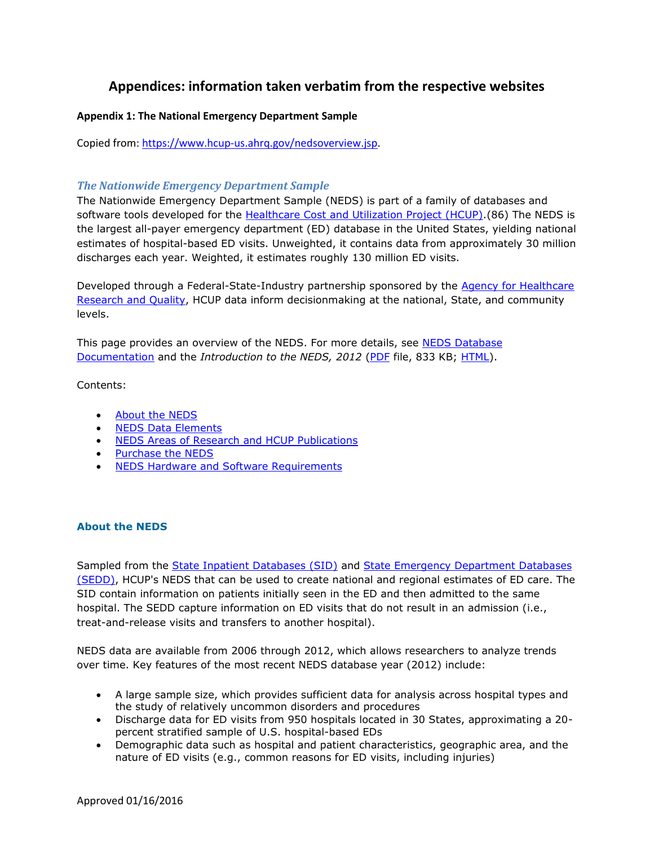## **Appendices: information taken verbatim from the respective websites**

## **Appendix 1: The National Emergency Department Sample**

Copied from: [https://www.hcup-us.ahrq.gov/nedsoverview.jsp.](https://www.hcup-us.ahrq.gov/nedsoverview.jsp)

## *The Nationwide Emergency Department Sample*

The Nationwide Emergency Department Sample (NEDS) is part of a family of databases and software tools developed for the [Healthcare Cost and Utilization Project](https://www.hcup-us.ahrq.gov/overview.jsp) (HCUP).(86) The NEDS is the largest all-payer emergency department (ED) database in the United States, yielding national estimates of hospital-based ED visits. Unweighted, it contains data from approximately 30 million discharges each year. Weighted, it estimates roughly 130 million ED visits.

Developed through a Federal-State-Industry partnership sponsored by the Agency for Healthcare [Research and Quality,](http://www.ahrq.gov/) HCUP data inform decisionmaking at the national, State, and community levels.

This page provides an overview of the NEDS. For more details, see [NEDS Database](https://www.hcup-us.ahrq.gov/db/nation/neds/nedsdbdocumentation.jsp)  [Documentation](https://www.hcup-us.ahrq.gov/db/nation/neds/nedsdbdocumentation.jsp) and the *Introduction to the NEDS, 2012* [\(PDF](https://www.hcup-us.ahrq.gov/db/nation/neds/NEDS2012Introduction.pdf) file, 833 KB; [HTML\)](https://www.hcup-us.ahrq.gov/db/nation/neds/NEDS_Introduction_2012.jsp).

Contents:

- [About the NEDS](https://www.hcup-us.ahrq.gov/nedsoverview.jsp#about)
- [NEDS Data Elements](https://www.hcup-us.ahrq.gov/nedsoverview.jsp#data)
- [NEDS Areas of Research and HCUP Publications](https://www.hcup-us.ahrq.gov/nedsoverview.jsp#research)
- [Purchase the NEDS](https://www.hcup-us.ahrq.gov/nedsoverview.jsp#purchase)
- **[NEDS Hardware and Software Requirements](https://www.hcup-us.ahrq.gov/nedsoverview.jsp#hardware)**

## **About the NEDS**

Sampled from the [State Inpatient Databases \(SID\)](https://www.hcup-us.ahrq.gov/sidoverview.jsp) and [State Emergency Department Databases](https://www.hcup-us.ahrq.gov/seddoverview.jsp)  [\(SEDD\),](https://www.hcup-us.ahrq.gov/seddoverview.jsp) HCUP's NEDS that can be used to create national and regional estimates of ED care. The SID contain information on patients initially seen in the ED and then admitted to the same hospital. The SEDD capture information on ED visits that do not result in an admission (i.e., treat-and-release visits and transfers to another hospital).

NEDS data are available from 2006 through 2012, which allows researchers to analyze trends over time. Key features of the most recent NEDS database year (2012) include:

- A large sample size, which provides sufficient data for analysis across hospital types and the study of relatively uncommon disorders and procedures
- Discharge data for ED visits from 950 hospitals located in 30 States, approximating a 20 percent stratified sample of U.S. hospital-based EDs
- Demographic data such as hospital and patient characteristics, geographic area, and the nature of ED visits (e.g., common reasons for ED visits, including injuries)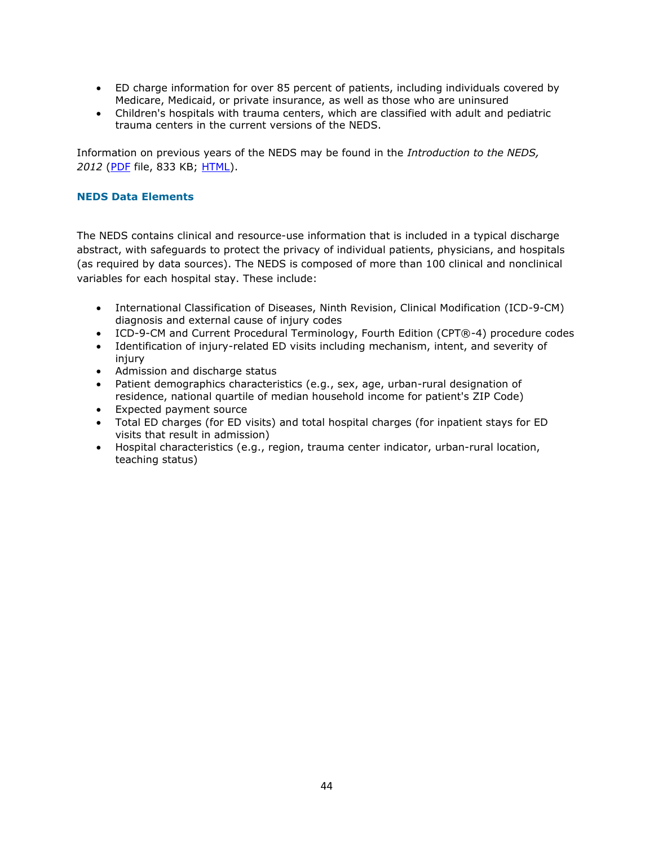- ED charge information for over 85 percent of patients, including individuals covered by Medicare, Medicaid, or private insurance, as well as those who are uninsured
- Children's hospitals with trauma centers, which are classified with adult and pediatric trauma centers in the current versions of the NEDS.

Information on previous years of the NEDS may be found in the *Introduction to the NEDS, 2012* [\(PDF](https://www.hcup-us.ahrq.gov/db/nation/neds/NEDS2012Introduction.pdf) file, 833 KB; [HTML\)](https://www.hcup-us.ahrq.gov/db/nation/neds/NEDS_Introduction_2012.jsp).

### **NEDS Data Elements**

The NEDS contains clinical and resource-use information that is included in a typical discharge abstract, with safeguards to protect the privacy of individual patients, physicians, and hospitals (as required by data sources). The NEDS is composed of more than 100 clinical and nonclinical variables for each hospital stay. These include:

- International Classification of Diseases, Ninth Revision, Clinical Modification (ICD-9-CM) diagnosis and external cause of injury codes
- ICD-9-CM and Current Procedural Terminology, Fourth Edition (CPT®-4) procedure codes
- Identification of injury-related ED visits including mechanism, intent, and severity of injury
- Admission and discharge status
- Patient demographics characteristics (e.g., sex, age, urban-rural designation of residence, national quartile of median household income for patient's ZIP Code)
- Expected payment source
- Total ED charges (for ED visits) and total hospital charges (for inpatient stays for ED visits that result in admission)
- Hospital characteristics (e.g., region, trauma center indicator, urban-rural location, teaching status)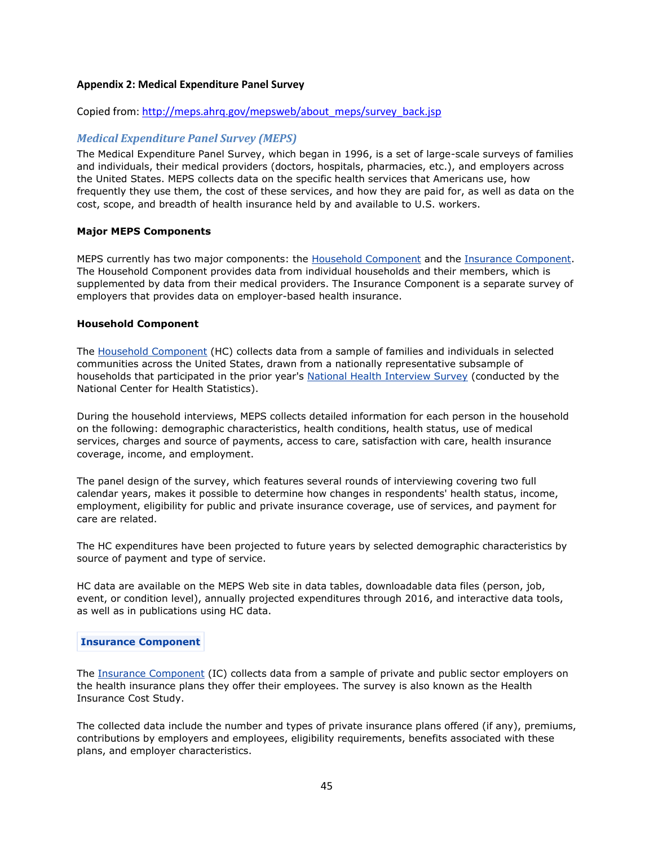#### **Appendix 2: Medical Expenditure Panel Survey**

#### Copied from: [http://meps.ahrq.gov/mepsweb/about\\_meps/survey\\_back.jsp](http://meps.ahrq.gov/mepsweb/about_meps/survey_back.jsp)

## *Medical Expenditure Panel Survey (MEPS)*

The Medical Expenditure Panel Survey, which began in 1996, is a set of large-scale surveys of families and individuals, their medical providers (doctors, hospitals, pharmacies, etc.), and employers across the United States. MEPS collects data on the specific health services that Americans use, how frequently they use them, the cost of these services, and how they are paid for, as well as data on the cost, scope, and breadth of health insurance held by and available to U.S. workers.

#### **Major MEPS Components**

MEPS currently has two major components: the [Household Component](http://meps.ahrq.gov/mepsweb/survey_comp/household.jsp) and the [Insurance Component.](http://meps.ahrq.gov/mepsweb/survey_comp/Insurance.jsp) The Household Component provides data from individual households and their members, which is supplemented by data from their medical providers. The Insurance Component is a separate survey of employers that provides data on employer-based health insurance.

#### **Household Component**

The [Household Component](http://meps.ahrq.gov/mepsweb/survey_comp/household.jsp) (HC) collects data from a sample of families and individuals in selected communities across the United States, drawn from a nationally representative subsample of households that participated in the prior year's [National Health Interview Survey](http://www.cdc.gov/nchs/nhis.htm) (conducted by the National Center for Health Statistics).

During the household interviews, MEPS collects detailed information for each person in the household on the following: demographic characteristics, health conditions, health status, use of medical services, charges and source of payments, access to care, satisfaction with care, health insurance coverage, income, and employment.

The panel design of the survey, which features several rounds of interviewing covering two full calendar years, makes it possible to determine how changes in respondents' health status, income, employment, eligibility for public and private insurance coverage, use of services, and payment for care are related.

The HC expenditures have been projected to future years by selected demographic characteristics by source of payment and type of service.

HC data are available on the MEPS Web site in data tables, downloadable data files (person, job, event, or condition level), annually projected expenditures through 2016, and interactive data tools, as well as in publications using HC data.

#### **Insurance Component**

The [Insurance Component](http://meps.ahrq.gov/mepsweb/survey_comp/Insurance.jsp) (IC) collects data from a sample of private and public sector employers on the health insurance plans they offer their employees. The survey is also known as the Health Insurance Cost Study.

The collected data include the number and types of private insurance plans offered (if any), premiums, contributions by employers and employees, eligibility requirements, benefits associated with these plans, and employer characteristics.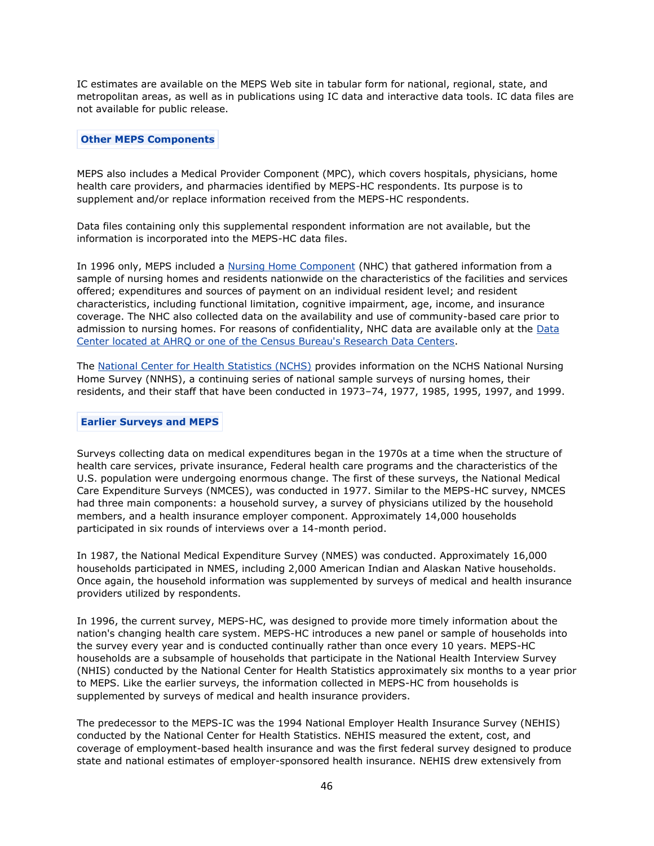IC estimates are available on the MEPS Web site in tabular form for national, regional, state, and metropolitan areas, as well as in publications using IC data and interactive data tools. IC data files are not available for public release.

#### **Other MEPS Components**

MEPS also includes a Medical Provider Component (MPC), which covers hospitals, physicians, home health care providers, and pharmacies identified by MEPS-HC respondents. Its purpose is to supplement and/or replace information received from the MEPS-HC respondents.

Data files containing only this supplemental respondent information are not available, but the information is incorporated into the MEPS-HC data files.

In 1996 only, MEPS included a [Nursing Home Component](http://meps.ahrq.gov/mepsweb/data_stats/data_overview.jsp#Nursing Home Component) (NHC) that gathered information from a sample of nursing homes and residents nationwide on the characteristics of the facilities and services offered; expenditures and sources of payment on an individual resident level; and resident characteristics, including functional limitation, cognitive impairment, age, income, and insurance coverage. The NHC also collected data on the availability and use of community-based care prior to admission to nursing homes. For reasons of confidentiality, NHC data are available only at the [Data](http://meps.ahrq.gov/mepsweb/data_stats/onsite_datacenter.jsp)  [Center located at AHRQ or one of the Census Bureau's Research Data Centers.](http://meps.ahrq.gov/mepsweb/data_stats/onsite_datacenter.jsp)

The [National Center for Health Statistics \(NCHS\)](http://www.cdc.gov/nchs/about/major/nnhsd/nnhsdesc.htm) provides information on the NCHS National Nursing Home Survey (NNHS), a continuing series of national sample surveys of nursing homes, their residents, and their staff that have been conducted in 1973–74, 1977, 1985, 1995, 1997, and 1999.

#### **Earlier Surveys and MEPS**

Surveys collecting data on medical expenditures began in the 1970s at a time when the structure of health care services, private insurance, Federal health care programs and the characteristics of the U.S. population were undergoing enormous change. The first of these surveys, the National Medical Care Expenditure Surveys (NMCES), was conducted in 1977. Similar to the MEPS-HC survey, NMCES had three main components: a household survey, a survey of physicians utilized by the household members, and a health insurance employer component. Approximately 14,000 households participated in six rounds of interviews over a 14-month period.

In 1987, the National Medical Expenditure Survey (NMES) was conducted. Approximately 16,000 households participated in NMES, including 2,000 American Indian and Alaskan Native households. Once again, the household information was supplemented by surveys of medical and health insurance providers utilized by respondents.

In 1996, the current survey, MEPS-HC, was designed to provide more timely information about the nation's changing health care system. MEPS-HC introduces a new panel or sample of households into the survey every year and is conducted continually rather than once every 10 years. MEPS-HC households are a subsample of households that participate in the National Health Interview Survey (NHIS) conducted by the National Center for Health Statistics approximately six months to a year prior to MEPS. Like the earlier surveys, the information collected in MEPS-HC from households is supplemented by surveys of medical and health insurance providers.

The predecessor to the MEPS-IC was the 1994 National Employer Health Insurance Survey (NEHIS) conducted by the National Center for Health Statistics. NEHIS measured the extent, cost, and coverage of employment-based health insurance and was the first federal survey designed to produce state and national estimates of employer-sponsored health insurance. NEHIS drew extensively from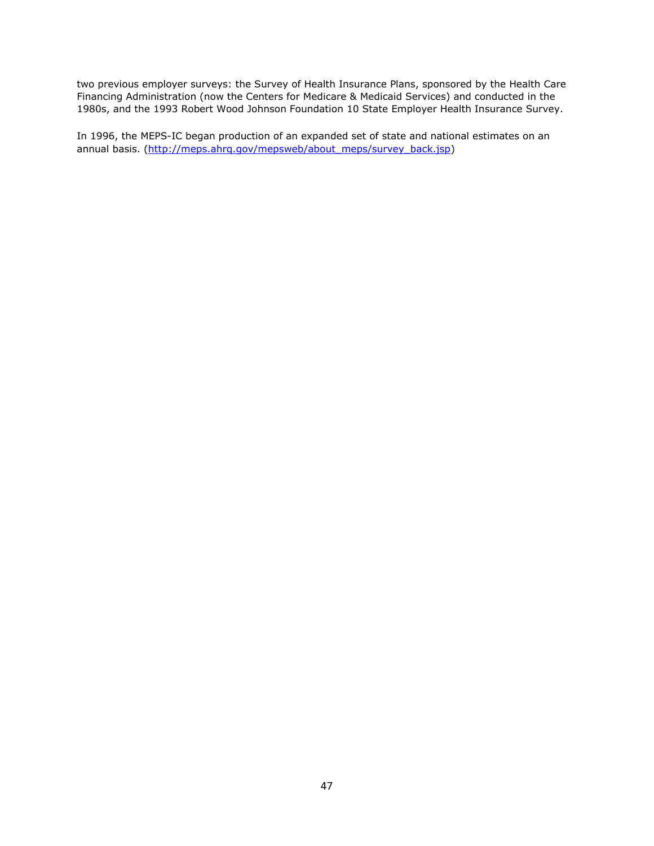two previous employer surveys: the Survey of Health Insurance Plans, sponsored by the Health Care Financing Administration (now the Centers for Medicare & Medicaid Services) and conducted in the 1980s, and the 1993 Robert Wood Johnson Foundation 10 State Employer Health Insurance Survey.

In 1996, the MEPS-IC began production of an expanded set of state and national estimates on an annual basis. [\(http://meps.ahrq.gov/mepsweb/about\\_meps/survey\\_back.jsp\)](http://meps.ahrq.gov/mepsweb/about_meps/survey_back.jsp)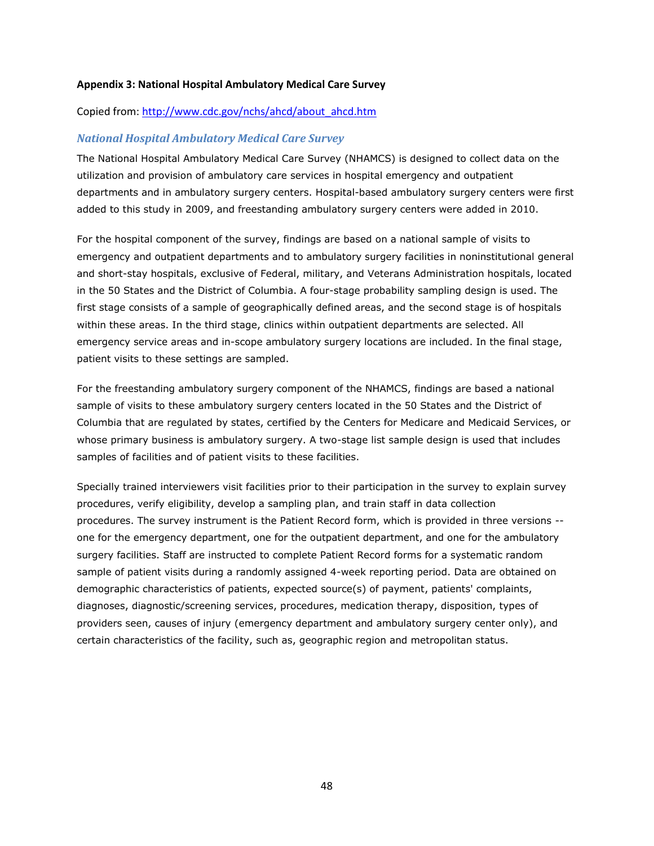#### **Appendix 3: National Hospital Ambulatory Medical Care Survey**

#### Copied from: [http://www.cdc.gov/nchs/ahcd/about\\_ahcd.htm](http://www.cdc.gov/nchs/ahcd/about_ahcd.htm)

#### *National Hospital Ambulatory Medical Care Survey*

The National Hospital Ambulatory Medical Care Survey (NHAMCS) is designed to collect data on the utilization and provision of ambulatory care services in hospital emergency and outpatient departments and in ambulatory surgery centers. Hospital-based ambulatory surgery centers were first added to this study in 2009, and freestanding ambulatory surgery centers were added in 2010.

For the hospital component of the survey, findings are based on a national sample of visits to emergency and outpatient departments and to ambulatory surgery facilities in noninstitutional general and short-stay hospitals, exclusive of Federal, military, and Veterans Administration hospitals, located in the 50 States and the District of Columbia. A four-stage probability sampling design is used. The first stage consists of a sample of geographically defined areas, and the second stage is of hospitals within these areas. In the third stage, clinics within outpatient departments are selected. All emergency service areas and in-scope ambulatory surgery locations are included. In the final stage, patient visits to these settings are sampled.

For the freestanding ambulatory surgery component of the NHAMCS, findings are based a national sample of visits to these ambulatory surgery centers located in the 50 States and the District of Columbia that are regulated by states, certified by the Centers for Medicare and Medicaid Services, or whose primary business is ambulatory surgery. A two-stage list sample design is used that includes samples of facilities and of patient visits to these facilities.

Specially trained interviewers visit facilities prior to their participation in the survey to explain survey procedures, verify eligibility, develop a sampling plan, and train staff in data collection procedures. The survey instrument is the Patient Record form, which is provided in three versions - one for the emergency department, one for the outpatient department, and one for the ambulatory surgery facilities. Staff are instructed to complete Patient Record forms for a systematic random sample of patient visits during a randomly assigned 4-week reporting period. Data are obtained on demographic characteristics of patients, expected source(s) of payment, patients' complaints, diagnoses, diagnostic/screening services, procedures, medication therapy, disposition, types of providers seen, causes of injury (emergency department and ambulatory surgery center only), and certain characteristics of the facility, such as, geographic region and metropolitan status.

48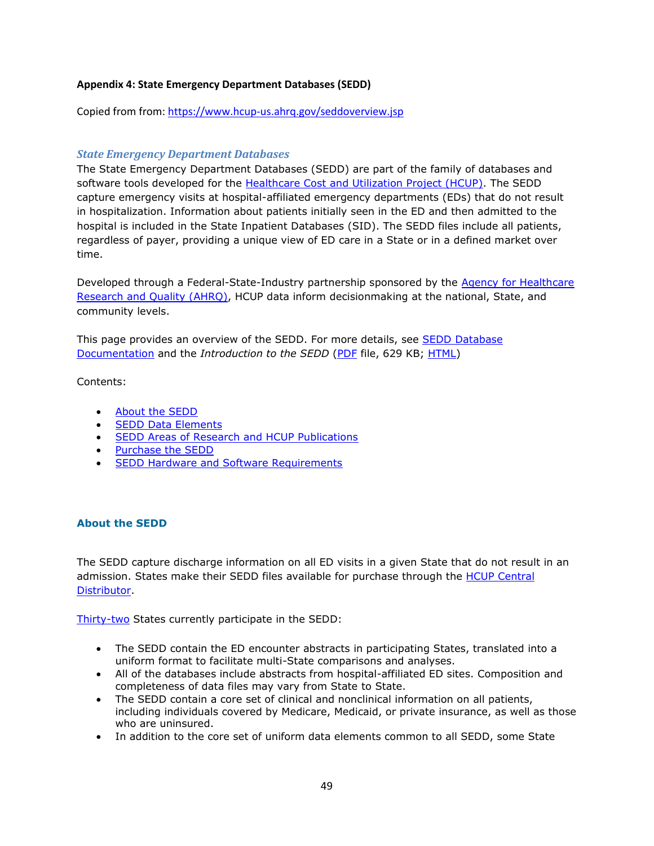## **Appendix 4: State Emergency Department Databases (SEDD)**

Copied from from:<https://www.hcup-us.ahrq.gov/seddoverview.jsp>

## *State Emergency Department Databases*

The State Emergency Department Databases (SEDD) are part of the family of databases and software tools developed for the [Healthcare Cost and Utilization Project \(HCUP\).](https://www.hcup-us.ahrq.gov/overview.jsp) The SEDD capture emergency visits at hospital-affiliated emergency departments (EDs) that do not result in hospitalization. Information about patients initially seen in the ED and then admitted to the hospital is included in the State Inpatient Databases (SID). The SEDD files include all patients, regardless of payer, providing a unique view of ED care in a State or in a defined market over time.

Developed through a Federal-State-Industry partnership sponsored by the Agency for Healthcare [Research and Quality \(AHRQ\),](http://www.ahrq.gov/) HCUP data inform decisionmaking at the national, State, and community levels.

This page provides an overview of the SEDD. For more details, see **SEDD Database** [Documentation](https://www.hcup-us.ahrq.gov/db/state/sedddbdocumentation.jsp) and the *Introduction to the SEDD* [\(PDF](https://www.hcup-us.ahrq.gov/db/state/sedddist/Introduction_to_SEDD.pdf) file, 629 KB; [HTML\)](https://www.hcup-us.ahrq.gov/db/state/sedddist/SEDD_Introduction.jsp)

Contents:

- [About the SEDD](https://www.hcup-us.ahrq.gov/seddoverview.jsp#about)
- [SEDD Data Elements](https://www.hcup-us.ahrq.gov/seddoverview.jsp#data)
- **[SEDD Areas of Research and HCUP Publications](https://www.hcup-us.ahrq.gov/seddoverview.jsp#research)**
- [Purchase the SEDD](https://www.hcup-us.ahrq.gov/seddoverview.jsp#purchase)
- **[SEDD Hardware and Software Requirements](https://www.hcup-us.ahrq.gov/seddoverview.jsp#hardware)**

## **About the SEDD**

The SEDD capture discharge information on all ED visits in a given State that do not result in an admission. States make their SEDD files available for purchase through the HCUP Central [Distributor.](https://www.hcup-us.ahrq.gov/tech_assist/centdist.jsp)

[Thirty-two](http://www.hcup-us.ahrq.gov/partners.jsp?SEDD) States currently participate in the SEDD:

- The SEDD contain the ED encounter abstracts in participating States, translated into a uniform format to facilitate multi-State comparisons and analyses.
- All of the databases include abstracts from hospital-affiliated ED sites. Composition and completeness of data files may vary from State to State.
- The SEDD contain a core set of clinical and nonclinical information on all patients, including individuals covered by Medicare, Medicaid, or private insurance, as well as those who are uninsured.
- In addition to the core set of uniform data elements common to all SEDD, some State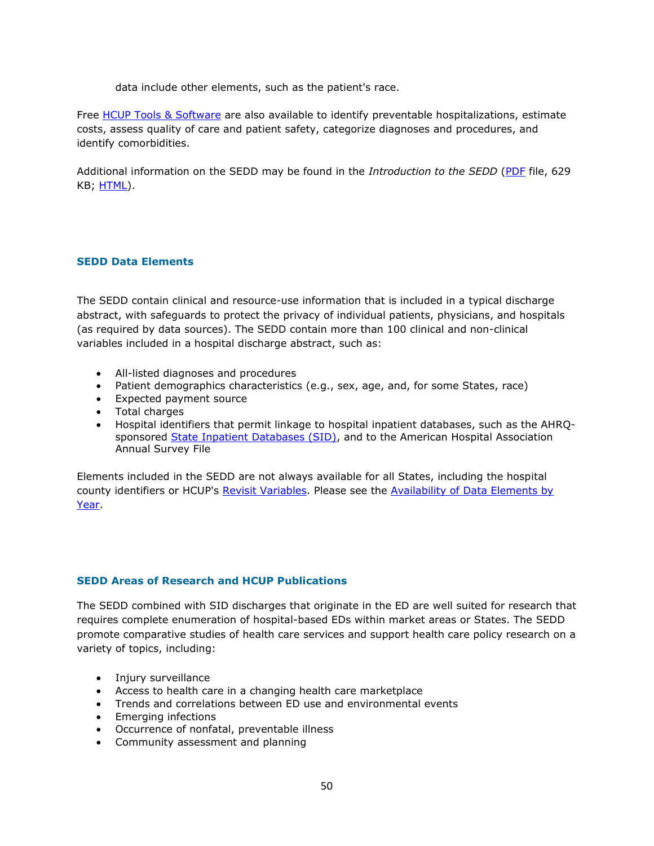data include other elements, such as the patient's race.

Free [HCUP Tools & Software](https://www.hcup-us.ahrq.gov/tools_software.jsp) are also available to identify preventable hospitalizations, estimate costs, assess quality of care and patient safety, categorize diagnoses and procedures, and identify comorbidities.

Additional information on the SEDD may be found in the *Introduction to the SEDD* [\(PDF](https://www.hcup-us.ahrq.gov/db/state/sedddist/Introduction_to_SEDD.pdf) file, 629 KB; [HTML\)](https://www.hcup-us.ahrq.gov/db/state/sedddist/SEDD_Introduction.jsp).

## **SEDD Data Elements**

The SEDD contain clinical and resource-use information that is included in a typical discharge abstract, with safeguards to protect the privacy of individual patients, physicians, and hospitals (as required by data sources). The SEDD contain more than 100 clinical and non-clinical variables included in a hospital discharge abstract, such as:

- All-listed diagnoses and procedures
- Patient demographics characteristics (e.g., sex, age, and, for some States, race)
- Expected payment source
- Total charges
- Hospital identifiers that permit linkage to hospital inpatient databases, such as the AHRQsponsored [State Inpatient Databases \(SID\),](https://www.hcup-us.ahrq.gov/sidoverview.jsp) and to the American Hospital Association Annual Survey File

Elements included in the SEDD are not always available for all States, including the hospital county identifiers or HCUP's [Revisit Variables.](https://www.hcup-us.ahrq.gov/toolssoftware/revisit/revisit.jsp) Please see the [Availability of Data Elements by](https://www.hcup-us.ahrq.gov/db/state/sedddist/sedddist_ddeavailbyyear.jsp)  [Year.](https://www.hcup-us.ahrq.gov/db/state/sedddist/sedddist_ddeavailbyyear.jsp)

#### **SEDD Areas of Research and HCUP Publications**

The SEDD combined with SID discharges that originate in the ED are well suited for research that requires complete enumeration of hospital-based EDs within market areas or States. The SEDD promote comparative studies of health care services and support health care policy research on a variety of topics, including:

- Injury surveillance
- Access to health care in a changing health care marketplace
- Trends and correlations between ED use and environmental events
- **•** Emerging infections
- Occurrence of nonfatal, preventable illness
- Community assessment and planning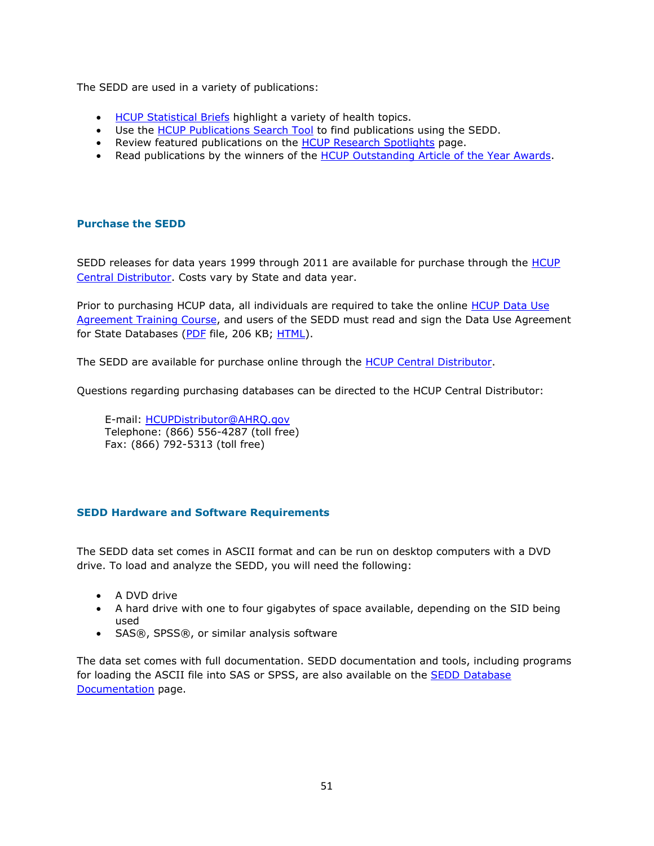The SEDD are used in a variety of publications:

- [HCUP Statistical Briefs](https://www.hcup-us.ahrq.gov/reports/statbriefs/statbriefs.jsp) highlight a variety of health topics.
- Use the [HCUP Publications Search Tool](https://www.hcup-us.ahrq.gov/reports/pubsearch/pubsearch.jsp) to find publications using the SEDD.
- Review featured publications on the [HCUP Research Spotlights](https://www.hcup-us.ahrq.gov/reports/spotlights.jsp) page.
- Read publications by the winners of the [HCUP Outstanding Article of the Year Awards.](https://www.hcup-us.ahrq.gov/awards.jsp)

### **Purchase the SEDD**

SEDD releases for data years 1999 through 2011 are available for purchase through the **HCUP** [Central Distributor.](https://www.hcup-us.ahrq.gov/tech_assist/centdist.jsp) Costs vary by State and data year.

Prior to purchasing HCUP data, all individuals are required to take the online HCUP Data Use [Agreement Training Course,](https://www.hcup-us.ahrq.gov/tech_assist/dua.jsp) and users of the SEDD must read and sign the Data Use Agreement for State Databases [\(PDF](https://www.hcup-us.ahrq.gov/team/StateDUA.pdf) file, 206 KB; [HTML\)](https://www.hcup-us.ahrq.gov/team/StateDUA.jsp).

The SEDD are available for purchase online through the **HCUP Central Distributor**.

Questions regarding purchasing databases can be directed to the HCUP Central Distributor:

E-mail: [HCUPDistributor@AHRQ.gov](mailto:HCUPDistributor@AHRQ.gov) Telephone: (866) 556-4287 (toll free) Fax: (866) 792-5313 (toll free)

## **SEDD Hardware and Software Requirements**

The SEDD data set comes in ASCII format and can be run on desktop computers with a DVD drive. To load and analyze the SEDD, you will need the following:

- A DVD drive
- A hard drive with one to four gigabytes of space available, depending on the SID being used
- SAS®, SPSS®, or similar analysis software

The data set comes with full documentation. SEDD documentation and tools, including programs for loading the ASCII file into SAS or SPSS, are also available on the **SEDD Database** [Documentation](https://www.hcup-us.ahrq.gov/db/state/sedddbdocumentation.jsp) page.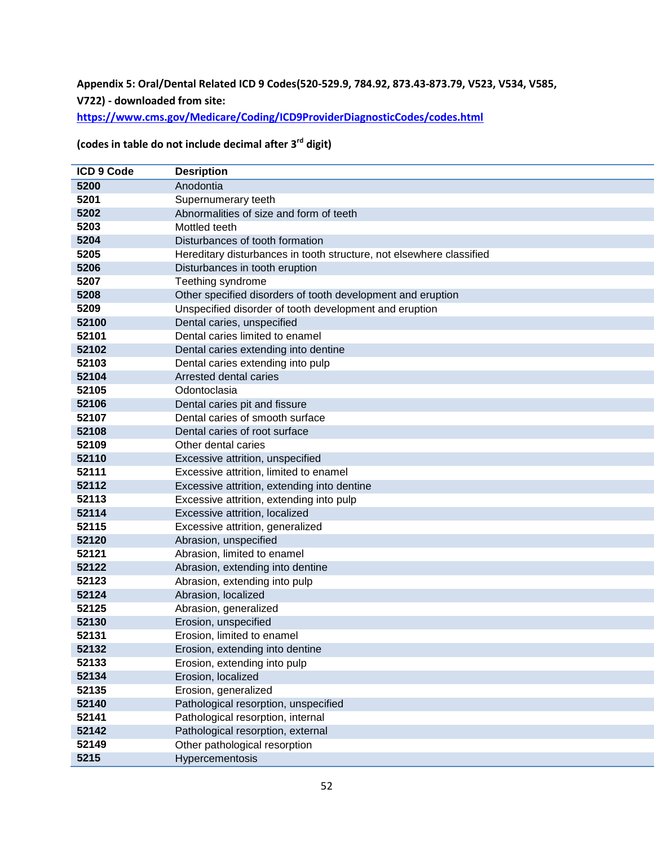## **Appendix 5: Oral/Dental Related ICD 9 Codes(520-529.9, 784.92, 873.43-873.79, V523, V534, V585, V722) - downloaded from site:**

**<https://www.cms.gov/Medicare/Coding/ICD9ProviderDiagnosticCodes/codes.html>**

# **(codes in table do not include decimal after 3rd digit)**

| <b>ICD 9 Code</b> | <b>Desription</b>                                                    |
|-------------------|----------------------------------------------------------------------|
| 5200              | Anodontia                                                            |
| 5201              | Supernumerary teeth                                                  |
| 5202              | Abnormalities of size and form of teeth                              |
| 5203              | Mottled teeth                                                        |
| 5204              | Disturbances of tooth formation                                      |
| 5205              | Hereditary disturbances in tooth structure, not elsewhere classified |
| 5206              | Disturbances in tooth eruption                                       |
| 5207              | Teething syndrome                                                    |
| 5208              | Other specified disorders of tooth development and eruption          |
| 5209              | Unspecified disorder of tooth development and eruption               |
| 52100             | Dental caries, unspecified                                           |
| 52101             | Dental caries limited to enamel                                      |
| 52102             | Dental caries extending into dentine                                 |
| 52103             | Dental caries extending into pulp                                    |
| 52104             | Arrested dental caries                                               |
| 52105             | Odontoclasia                                                         |
| 52106             | Dental caries pit and fissure                                        |
| 52107             | Dental caries of smooth surface                                      |
| 52108             | Dental caries of root surface                                        |
| 52109             | Other dental caries                                                  |
| 52110             | Excessive attrition, unspecified                                     |
| 52111             | Excessive attrition, limited to enamel                               |
| 52112             | Excessive attrition, extending into dentine                          |
| 52113             | Excessive attrition, extending into pulp                             |
| 52114             | Excessive attrition, localized                                       |
| 52115             | Excessive attrition, generalized                                     |
| 52120             | Abrasion, unspecified                                                |
| 52121             | Abrasion, limited to enamel                                          |
| 52122             | Abrasion, extending into dentine                                     |
| 52123             | Abrasion, extending into pulp                                        |
| 52124             | Abrasion, localized                                                  |
| 52125             | Abrasion, generalized                                                |
| 52130             | Erosion, unspecified                                                 |
| 52131             | Erosion, limited to enamel                                           |
| 52132             | Erosion, extending into dentine                                      |
| 52133             | Erosion, extending into pulp                                         |
| 52134             | Erosion, localized                                                   |
| 52135             | Erosion, generalized                                                 |
| 52140             | Pathological resorption, unspecified                                 |
| 52141             | Pathological resorption, internal                                    |
| 52142             | Pathological resorption, external                                    |
| 52149             | Other pathological resorption                                        |
| 5215              | Hypercementosis                                                      |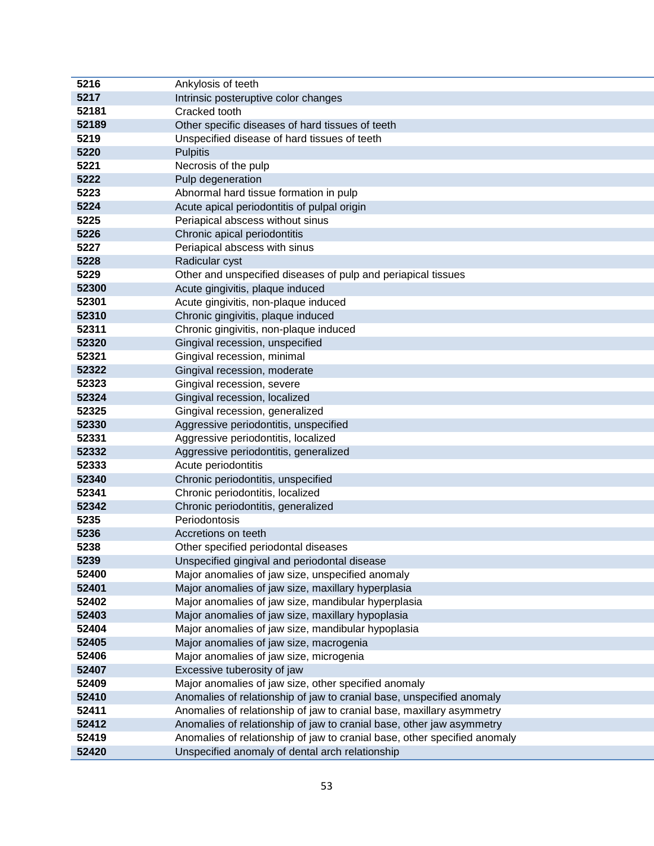| 5217<br>Intrinsic posteruptive color changes<br>52181<br>Cracked tooth<br>52189<br>Other specific diseases of hard tissues of teeth<br>5219<br>Unspecified disease of hard tissues of teeth<br>5220<br><b>Pulpitis</b><br>5221<br>Necrosis of the pulp<br>5222<br>Pulp degeneration<br>5223<br>Abnormal hard tissue formation in pulp<br>5224<br>Acute apical periodontitis of pulpal origin<br>5225<br>Periapical abscess without sinus<br>5226<br>Chronic apical periodontitis<br>5227<br>Periapical abscess with sinus<br>Radicular cyst<br>5228<br>5229<br>Other and unspecified diseases of pulp and periapical tissues<br>52300<br>Acute gingivitis, plaque induced<br>52301<br>Acute gingivitis, non-plaque induced<br>52310<br>Chronic gingivitis, plaque induced<br>52311<br>Chronic gingivitis, non-plaque induced<br>52320<br>Gingival recession, unspecified<br>52321<br>Gingival recession, minimal<br>52322<br>Gingival recession, moderate<br>52323<br>Gingival recession, severe<br>52324<br>Gingival recession, localized<br>52325<br>Gingival recession, generalized<br>52330<br>Aggressive periodontitis, unspecified<br>52331<br>Aggressive periodontitis, localized<br>52332<br>Aggressive periodontitis, generalized<br>52333<br>Acute periodontitis<br>52340<br>Chronic periodontitis, unspecified<br>52341<br>Chronic periodontitis, localized<br>52342<br>Chronic periodontitis, generalized<br>5235<br>Periodontosis<br>5236<br>Accretions on teeth<br>5238<br>Other specified periodontal diseases<br>5239<br>Unspecified gingival and periodontal disease<br>52400<br>Major anomalies of jaw size, unspecified anomaly<br>52401<br>Major anomalies of jaw size, maxillary hyperplasia<br>52402<br>Major anomalies of jaw size, mandibular hyperplasia<br>52403<br>Major anomalies of jaw size, maxillary hypoplasia<br>52404<br>Major anomalies of jaw size, mandibular hypoplasia<br>52405<br>Major anomalies of jaw size, macrogenia<br>52406<br>Major anomalies of jaw size, microgenia<br>52407<br>Excessive tuberosity of jaw<br>52409<br>Major anomalies of jaw size, other specified anomaly<br>52410<br>Anomalies of relationship of jaw to cranial base, unspecified anomaly<br>52411<br>Anomalies of relationship of jaw to cranial base, maxillary asymmetry<br>52412<br>Anomalies of relationship of jaw to cranial base, other jaw asymmetry<br>52419<br>Anomalies of relationship of jaw to cranial base, other specified anomaly<br>52420<br>Unspecified anomaly of dental arch relationship | 5216 | Ankylosis of teeth |
|-----------------------------------------------------------------------------------------------------------------------------------------------------------------------------------------------------------------------------------------------------------------------------------------------------------------------------------------------------------------------------------------------------------------------------------------------------------------------------------------------------------------------------------------------------------------------------------------------------------------------------------------------------------------------------------------------------------------------------------------------------------------------------------------------------------------------------------------------------------------------------------------------------------------------------------------------------------------------------------------------------------------------------------------------------------------------------------------------------------------------------------------------------------------------------------------------------------------------------------------------------------------------------------------------------------------------------------------------------------------------------------------------------------------------------------------------------------------------------------------------------------------------------------------------------------------------------------------------------------------------------------------------------------------------------------------------------------------------------------------------------------------------------------------------------------------------------------------------------------------------------------------------------------------------------------------------------------------------------------------------------------------------------------------------------------------------------------------------------------------------------------------------------------------------------------------------------------------------------------------------------------------------------------------------------------------------------------------------------------------------------------------------------------------------------------------------------------------------------------------------------------------------------------------|------|--------------------|
|                                                                                                                                                                                                                                                                                                                                                                                                                                                                                                                                                                                                                                                                                                                                                                                                                                                                                                                                                                                                                                                                                                                                                                                                                                                                                                                                                                                                                                                                                                                                                                                                                                                                                                                                                                                                                                                                                                                                                                                                                                                                                                                                                                                                                                                                                                                                                                                                                                                                                                                                         |      |                    |
|                                                                                                                                                                                                                                                                                                                                                                                                                                                                                                                                                                                                                                                                                                                                                                                                                                                                                                                                                                                                                                                                                                                                                                                                                                                                                                                                                                                                                                                                                                                                                                                                                                                                                                                                                                                                                                                                                                                                                                                                                                                                                                                                                                                                                                                                                                                                                                                                                                                                                                                                         |      |                    |
|                                                                                                                                                                                                                                                                                                                                                                                                                                                                                                                                                                                                                                                                                                                                                                                                                                                                                                                                                                                                                                                                                                                                                                                                                                                                                                                                                                                                                                                                                                                                                                                                                                                                                                                                                                                                                                                                                                                                                                                                                                                                                                                                                                                                                                                                                                                                                                                                                                                                                                                                         |      |                    |
|                                                                                                                                                                                                                                                                                                                                                                                                                                                                                                                                                                                                                                                                                                                                                                                                                                                                                                                                                                                                                                                                                                                                                                                                                                                                                                                                                                                                                                                                                                                                                                                                                                                                                                                                                                                                                                                                                                                                                                                                                                                                                                                                                                                                                                                                                                                                                                                                                                                                                                                                         |      |                    |
|                                                                                                                                                                                                                                                                                                                                                                                                                                                                                                                                                                                                                                                                                                                                                                                                                                                                                                                                                                                                                                                                                                                                                                                                                                                                                                                                                                                                                                                                                                                                                                                                                                                                                                                                                                                                                                                                                                                                                                                                                                                                                                                                                                                                                                                                                                                                                                                                                                                                                                                                         |      |                    |
|                                                                                                                                                                                                                                                                                                                                                                                                                                                                                                                                                                                                                                                                                                                                                                                                                                                                                                                                                                                                                                                                                                                                                                                                                                                                                                                                                                                                                                                                                                                                                                                                                                                                                                                                                                                                                                                                                                                                                                                                                                                                                                                                                                                                                                                                                                                                                                                                                                                                                                                                         |      |                    |
|                                                                                                                                                                                                                                                                                                                                                                                                                                                                                                                                                                                                                                                                                                                                                                                                                                                                                                                                                                                                                                                                                                                                                                                                                                                                                                                                                                                                                                                                                                                                                                                                                                                                                                                                                                                                                                                                                                                                                                                                                                                                                                                                                                                                                                                                                                                                                                                                                                                                                                                                         |      |                    |
|                                                                                                                                                                                                                                                                                                                                                                                                                                                                                                                                                                                                                                                                                                                                                                                                                                                                                                                                                                                                                                                                                                                                                                                                                                                                                                                                                                                                                                                                                                                                                                                                                                                                                                                                                                                                                                                                                                                                                                                                                                                                                                                                                                                                                                                                                                                                                                                                                                                                                                                                         |      |                    |
|                                                                                                                                                                                                                                                                                                                                                                                                                                                                                                                                                                                                                                                                                                                                                                                                                                                                                                                                                                                                                                                                                                                                                                                                                                                                                                                                                                                                                                                                                                                                                                                                                                                                                                                                                                                                                                                                                                                                                                                                                                                                                                                                                                                                                                                                                                                                                                                                                                                                                                                                         |      |                    |
|                                                                                                                                                                                                                                                                                                                                                                                                                                                                                                                                                                                                                                                                                                                                                                                                                                                                                                                                                                                                                                                                                                                                                                                                                                                                                                                                                                                                                                                                                                                                                                                                                                                                                                                                                                                                                                                                                                                                                                                                                                                                                                                                                                                                                                                                                                                                                                                                                                                                                                                                         |      |                    |
|                                                                                                                                                                                                                                                                                                                                                                                                                                                                                                                                                                                                                                                                                                                                                                                                                                                                                                                                                                                                                                                                                                                                                                                                                                                                                                                                                                                                                                                                                                                                                                                                                                                                                                                                                                                                                                                                                                                                                                                                                                                                                                                                                                                                                                                                                                                                                                                                                                                                                                                                         |      |                    |
|                                                                                                                                                                                                                                                                                                                                                                                                                                                                                                                                                                                                                                                                                                                                                                                                                                                                                                                                                                                                                                                                                                                                                                                                                                                                                                                                                                                                                                                                                                                                                                                                                                                                                                                                                                                                                                                                                                                                                                                                                                                                                                                                                                                                                                                                                                                                                                                                                                                                                                                                         |      |                    |
|                                                                                                                                                                                                                                                                                                                                                                                                                                                                                                                                                                                                                                                                                                                                                                                                                                                                                                                                                                                                                                                                                                                                                                                                                                                                                                                                                                                                                                                                                                                                                                                                                                                                                                                                                                                                                                                                                                                                                                                                                                                                                                                                                                                                                                                                                                                                                                                                                                                                                                                                         |      |                    |
|                                                                                                                                                                                                                                                                                                                                                                                                                                                                                                                                                                                                                                                                                                                                                                                                                                                                                                                                                                                                                                                                                                                                                                                                                                                                                                                                                                                                                                                                                                                                                                                                                                                                                                                                                                                                                                                                                                                                                                                                                                                                                                                                                                                                                                                                                                                                                                                                                                                                                                                                         |      |                    |
|                                                                                                                                                                                                                                                                                                                                                                                                                                                                                                                                                                                                                                                                                                                                                                                                                                                                                                                                                                                                                                                                                                                                                                                                                                                                                                                                                                                                                                                                                                                                                                                                                                                                                                                                                                                                                                                                                                                                                                                                                                                                                                                                                                                                                                                                                                                                                                                                                                                                                                                                         |      |                    |
|                                                                                                                                                                                                                                                                                                                                                                                                                                                                                                                                                                                                                                                                                                                                                                                                                                                                                                                                                                                                                                                                                                                                                                                                                                                                                                                                                                                                                                                                                                                                                                                                                                                                                                                                                                                                                                                                                                                                                                                                                                                                                                                                                                                                                                                                                                                                                                                                                                                                                                                                         |      |                    |
|                                                                                                                                                                                                                                                                                                                                                                                                                                                                                                                                                                                                                                                                                                                                                                                                                                                                                                                                                                                                                                                                                                                                                                                                                                                                                                                                                                                                                                                                                                                                                                                                                                                                                                                                                                                                                                                                                                                                                                                                                                                                                                                                                                                                                                                                                                                                                                                                                                                                                                                                         |      |                    |
|                                                                                                                                                                                                                                                                                                                                                                                                                                                                                                                                                                                                                                                                                                                                                                                                                                                                                                                                                                                                                                                                                                                                                                                                                                                                                                                                                                                                                                                                                                                                                                                                                                                                                                                                                                                                                                                                                                                                                                                                                                                                                                                                                                                                                                                                                                                                                                                                                                                                                                                                         |      |                    |
|                                                                                                                                                                                                                                                                                                                                                                                                                                                                                                                                                                                                                                                                                                                                                                                                                                                                                                                                                                                                                                                                                                                                                                                                                                                                                                                                                                                                                                                                                                                                                                                                                                                                                                                                                                                                                                                                                                                                                                                                                                                                                                                                                                                                                                                                                                                                                                                                                                                                                                                                         |      |                    |
|                                                                                                                                                                                                                                                                                                                                                                                                                                                                                                                                                                                                                                                                                                                                                                                                                                                                                                                                                                                                                                                                                                                                                                                                                                                                                                                                                                                                                                                                                                                                                                                                                                                                                                                                                                                                                                                                                                                                                                                                                                                                                                                                                                                                                                                                                                                                                                                                                                                                                                                                         |      |                    |
|                                                                                                                                                                                                                                                                                                                                                                                                                                                                                                                                                                                                                                                                                                                                                                                                                                                                                                                                                                                                                                                                                                                                                                                                                                                                                                                                                                                                                                                                                                                                                                                                                                                                                                                                                                                                                                                                                                                                                                                                                                                                                                                                                                                                                                                                                                                                                                                                                                                                                                                                         |      |                    |
|                                                                                                                                                                                                                                                                                                                                                                                                                                                                                                                                                                                                                                                                                                                                                                                                                                                                                                                                                                                                                                                                                                                                                                                                                                                                                                                                                                                                                                                                                                                                                                                                                                                                                                                                                                                                                                                                                                                                                                                                                                                                                                                                                                                                                                                                                                                                                                                                                                                                                                                                         |      |                    |
|                                                                                                                                                                                                                                                                                                                                                                                                                                                                                                                                                                                                                                                                                                                                                                                                                                                                                                                                                                                                                                                                                                                                                                                                                                                                                                                                                                                                                                                                                                                                                                                                                                                                                                                                                                                                                                                                                                                                                                                                                                                                                                                                                                                                                                                                                                                                                                                                                                                                                                                                         |      |                    |
|                                                                                                                                                                                                                                                                                                                                                                                                                                                                                                                                                                                                                                                                                                                                                                                                                                                                                                                                                                                                                                                                                                                                                                                                                                                                                                                                                                                                                                                                                                                                                                                                                                                                                                                                                                                                                                                                                                                                                                                                                                                                                                                                                                                                                                                                                                                                                                                                                                                                                                                                         |      |                    |
|                                                                                                                                                                                                                                                                                                                                                                                                                                                                                                                                                                                                                                                                                                                                                                                                                                                                                                                                                                                                                                                                                                                                                                                                                                                                                                                                                                                                                                                                                                                                                                                                                                                                                                                                                                                                                                                                                                                                                                                                                                                                                                                                                                                                                                                                                                                                                                                                                                                                                                                                         |      |                    |
|                                                                                                                                                                                                                                                                                                                                                                                                                                                                                                                                                                                                                                                                                                                                                                                                                                                                                                                                                                                                                                                                                                                                                                                                                                                                                                                                                                                                                                                                                                                                                                                                                                                                                                                                                                                                                                                                                                                                                                                                                                                                                                                                                                                                                                                                                                                                                                                                                                                                                                                                         |      |                    |
|                                                                                                                                                                                                                                                                                                                                                                                                                                                                                                                                                                                                                                                                                                                                                                                                                                                                                                                                                                                                                                                                                                                                                                                                                                                                                                                                                                                                                                                                                                                                                                                                                                                                                                                                                                                                                                                                                                                                                                                                                                                                                                                                                                                                                                                                                                                                                                                                                                                                                                                                         |      |                    |
|                                                                                                                                                                                                                                                                                                                                                                                                                                                                                                                                                                                                                                                                                                                                                                                                                                                                                                                                                                                                                                                                                                                                                                                                                                                                                                                                                                                                                                                                                                                                                                                                                                                                                                                                                                                                                                                                                                                                                                                                                                                                                                                                                                                                                                                                                                                                                                                                                                                                                                                                         |      |                    |
|                                                                                                                                                                                                                                                                                                                                                                                                                                                                                                                                                                                                                                                                                                                                                                                                                                                                                                                                                                                                                                                                                                                                                                                                                                                                                                                                                                                                                                                                                                                                                                                                                                                                                                                                                                                                                                                                                                                                                                                                                                                                                                                                                                                                                                                                                                                                                                                                                                                                                                                                         |      |                    |
|                                                                                                                                                                                                                                                                                                                                                                                                                                                                                                                                                                                                                                                                                                                                                                                                                                                                                                                                                                                                                                                                                                                                                                                                                                                                                                                                                                                                                                                                                                                                                                                                                                                                                                                                                                                                                                                                                                                                                                                                                                                                                                                                                                                                                                                                                                                                                                                                                                                                                                                                         |      |                    |
|                                                                                                                                                                                                                                                                                                                                                                                                                                                                                                                                                                                                                                                                                                                                                                                                                                                                                                                                                                                                                                                                                                                                                                                                                                                                                                                                                                                                                                                                                                                                                                                                                                                                                                                                                                                                                                                                                                                                                                                                                                                                                                                                                                                                                                                                                                                                                                                                                                                                                                                                         |      |                    |
|                                                                                                                                                                                                                                                                                                                                                                                                                                                                                                                                                                                                                                                                                                                                                                                                                                                                                                                                                                                                                                                                                                                                                                                                                                                                                                                                                                                                                                                                                                                                                                                                                                                                                                                                                                                                                                                                                                                                                                                                                                                                                                                                                                                                                                                                                                                                                                                                                                                                                                                                         |      |                    |
|                                                                                                                                                                                                                                                                                                                                                                                                                                                                                                                                                                                                                                                                                                                                                                                                                                                                                                                                                                                                                                                                                                                                                                                                                                                                                                                                                                                                                                                                                                                                                                                                                                                                                                                                                                                                                                                                                                                                                                                                                                                                                                                                                                                                                                                                                                                                                                                                                                                                                                                                         |      |                    |
|                                                                                                                                                                                                                                                                                                                                                                                                                                                                                                                                                                                                                                                                                                                                                                                                                                                                                                                                                                                                                                                                                                                                                                                                                                                                                                                                                                                                                                                                                                                                                                                                                                                                                                                                                                                                                                                                                                                                                                                                                                                                                                                                                                                                                                                                                                                                                                                                                                                                                                                                         |      |                    |
|                                                                                                                                                                                                                                                                                                                                                                                                                                                                                                                                                                                                                                                                                                                                                                                                                                                                                                                                                                                                                                                                                                                                                                                                                                                                                                                                                                                                                                                                                                                                                                                                                                                                                                                                                                                                                                                                                                                                                                                                                                                                                                                                                                                                                                                                                                                                                                                                                                                                                                                                         |      |                    |
|                                                                                                                                                                                                                                                                                                                                                                                                                                                                                                                                                                                                                                                                                                                                                                                                                                                                                                                                                                                                                                                                                                                                                                                                                                                                                                                                                                                                                                                                                                                                                                                                                                                                                                                                                                                                                                                                                                                                                                                                                                                                                                                                                                                                                                                                                                                                                                                                                                                                                                                                         |      |                    |
|                                                                                                                                                                                                                                                                                                                                                                                                                                                                                                                                                                                                                                                                                                                                                                                                                                                                                                                                                                                                                                                                                                                                                                                                                                                                                                                                                                                                                                                                                                                                                                                                                                                                                                                                                                                                                                                                                                                                                                                                                                                                                                                                                                                                                                                                                                                                                                                                                                                                                                                                         |      |                    |
|                                                                                                                                                                                                                                                                                                                                                                                                                                                                                                                                                                                                                                                                                                                                                                                                                                                                                                                                                                                                                                                                                                                                                                                                                                                                                                                                                                                                                                                                                                                                                                                                                                                                                                                                                                                                                                                                                                                                                                                                                                                                                                                                                                                                                                                                                                                                                                                                                                                                                                                                         |      |                    |
|                                                                                                                                                                                                                                                                                                                                                                                                                                                                                                                                                                                                                                                                                                                                                                                                                                                                                                                                                                                                                                                                                                                                                                                                                                                                                                                                                                                                                                                                                                                                                                                                                                                                                                                                                                                                                                                                                                                                                                                                                                                                                                                                                                                                                                                                                                                                                                                                                                                                                                                                         |      |                    |
|                                                                                                                                                                                                                                                                                                                                                                                                                                                                                                                                                                                                                                                                                                                                                                                                                                                                                                                                                                                                                                                                                                                                                                                                                                                                                                                                                                                                                                                                                                                                                                                                                                                                                                                                                                                                                                                                                                                                                                                                                                                                                                                                                                                                                                                                                                                                                                                                                                                                                                                                         |      |                    |
|                                                                                                                                                                                                                                                                                                                                                                                                                                                                                                                                                                                                                                                                                                                                                                                                                                                                                                                                                                                                                                                                                                                                                                                                                                                                                                                                                                                                                                                                                                                                                                                                                                                                                                                                                                                                                                                                                                                                                                                                                                                                                                                                                                                                                                                                                                                                                                                                                                                                                                                                         |      |                    |
|                                                                                                                                                                                                                                                                                                                                                                                                                                                                                                                                                                                                                                                                                                                                                                                                                                                                                                                                                                                                                                                                                                                                                                                                                                                                                                                                                                                                                                                                                                                                                                                                                                                                                                                                                                                                                                                                                                                                                                                                                                                                                                                                                                                                                                                                                                                                                                                                                                                                                                                                         |      |                    |
|                                                                                                                                                                                                                                                                                                                                                                                                                                                                                                                                                                                                                                                                                                                                                                                                                                                                                                                                                                                                                                                                                                                                                                                                                                                                                                                                                                                                                                                                                                                                                                                                                                                                                                                                                                                                                                                                                                                                                                                                                                                                                                                                                                                                                                                                                                                                                                                                                                                                                                                                         |      |                    |
|                                                                                                                                                                                                                                                                                                                                                                                                                                                                                                                                                                                                                                                                                                                                                                                                                                                                                                                                                                                                                                                                                                                                                                                                                                                                                                                                                                                                                                                                                                                                                                                                                                                                                                                                                                                                                                                                                                                                                                                                                                                                                                                                                                                                                                                                                                                                                                                                                                                                                                                                         |      |                    |
|                                                                                                                                                                                                                                                                                                                                                                                                                                                                                                                                                                                                                                                                                                                                                                                                                                                                                                                                                                                                                                                                                                                                                                                                                                                                                                                                                                                                                                                                                                                                                                                                                                                                                                                                                                                                                                                                                                                                                                                                                                                                                                                                                                                                                                                                                                                                                                                                                                                                                                                                         |      |                    |
|                                                                                                                                                                                                                                                                                                                                                                                                                                                                                                                                                                                                                                                                                                                                                                                                                                                                                                                                                                                                                                                                                                                                                                                                                                                                                                                                                                                                                                                                                                                                                                                                                                                                                                                                                                                                                                                                                                                                                                                                                                                                                                                                                                                                                                                                                                                                                                                                                                                                                                                                         |      |                    |
|                                                                                                                                                                                                                                                                                                                                                                                                                                                                                                                                                                                                                                                                                                                                                                                                                                                                                                                                                                                                                                                                                                                                                                                                                                                                                                                                                                                                                                                                                                                                                                                                                                                                                                                                                                                                                                                                                                                                                                                                                                                                                                                                                                                                                                                                                                                                                                                                                                                                                                                                         |      |                    |
|                                                                                                                                                                                                                                                                                                                                                                                                                                                                                                                                                                                                                                                                                                                                                                                                                                                                                                                                                                                                                                                                                                                                                                                                                                                                                                                                                                                                                                                                                                                                                                                                                                                                                                                                                                                                                                                                                                                                                                                                                                                                                                                                                                                                                                                                                                                                                                                                                                                                                                                                         |      |                    |
|                                                                                                                                                                                                                                                                                                                                                                                                                                                                                                                                                                                                                                                                                                                                                                                                                                                                                                                                                                                                                                                                                                                                                                                                                                                                                                                                                                                                                                                                                                                                                                                                                                                                                                                                                                                                                                                                                                                                                                                                                                                                                                                                                                                                                                                                                                                                                                                                                                                                                                                                         |      |                    |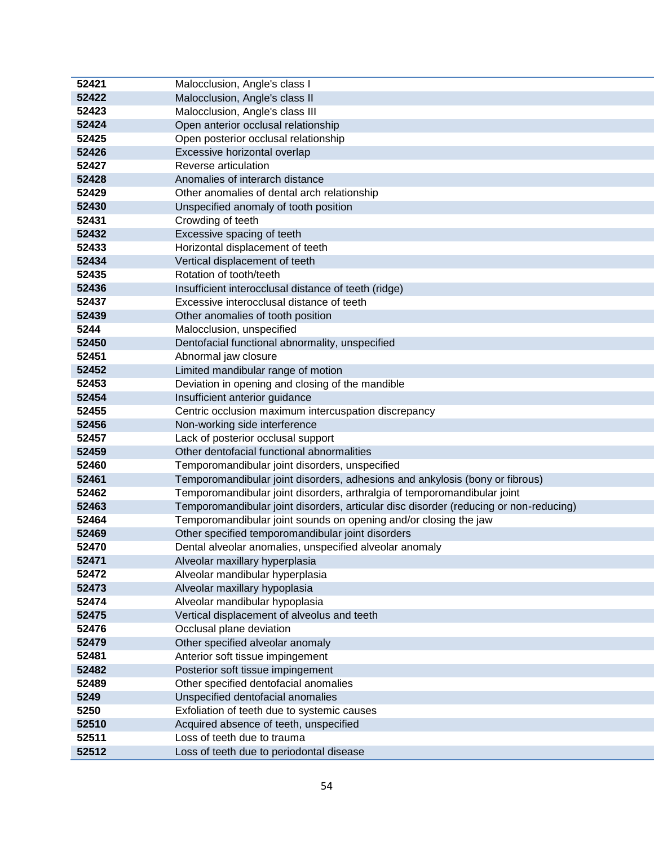| 52421 | Malocclusion, Angle's class I                                                         |
|-------|---------------------------------------------------------------------------------------|
| 52422 | Malocclusion, Angle's class II                                                        |
| 52423 | Malocclusion, Angle's class III                                                       |
| 52424 | Open anterior occlusal relationship                                                   |
| 52425 | Open posterior occlusal relationship                                                  |
| 52426 | Excessive horizontal overlap                                                          |
| 52427 | Reverse articulation                                                                  |
| 52428 | Anomalies of interarch distance                                                       |
| 52429 | Other anomalies of dental arch relationship                                           |
| 52430 | Unspecified anomaly of tooth position                                                 |
| 52431 | Crowding of teeth                                                                     |
| 52432 | Excessive spacing of teeth                                                            |
| 52433 | Horizontal displacement of teeth                                                      |
| 52434 | Vertical displacement of teeth                                                        |
| 52435 | Rotation of tooth/teeth                                                               |
| 52436 | Insufficient interocclusal distance of teeth (ridge)                                  |
| 52437 | Excessive interocclusal distance of teeth                                             |
| 52439 | Other anomalies of tooth position                                                     |
| 5244  | Malocclusion, unspecified                                                             |
| 52450 | Dentofacial functional abnormality, unspecified                                       |
| 52451 | Abnormal jaw closure                                                                  |
| 52452 | Limited mandibular range of motion                                                    |
| 52453 | Deviation in opening and closing of the mandible                                      |
| 52454 | Insufficient anterior guidance                                                        |
| 52455 | Centric occlusion maximum intercuspation discrepancy                                  |
| 52456 | Non-working side interference                                                         |
| 52457 | Lack of posterior occlusal support                                                    |
| 52459 | Other dentofacial functional abnormalities                                            |
| 52460 | Temporomandibular joint disorders, unspecified                                        |
| 52461 | Temporomandibular joint disorders, adhesions and ankylosis (bony or fibrous)          |
| 52462 | Temporomandibular joint disorders, arthralgia of temporomandibular joint              |
| 52463 | Temporomandibular joint disorders, articular disc disorder (reducing or non-reducing) |
| 52464 | Temporomandibular joint sounds on opening and/or closing the jaw                      |
| 52469 | Other specified temporomandibular joint disorders                                     |
| 52470 | Dental alveolar anomalies, unspecified alveolar anomaly                               |
| 52471 | Alveolar maxillary hyperplasia                                                        |
| 52472 | Alveolar mandibular hyperplasia                                                       |
| 52473 | Alveolar maxillary hypoplasia                                                         |
| 52474 | Alveolar mandibular hypoplasia                                                        |
| 52475 | Vertical displacement of alveolus and teeth                                           |
| 52476 | Occlusal plane deviation                                                              |
| 52479 | Other specified alveolar anomaly                                                      |
| 52481 | Anterior soft tissue impingement                                                      |
| 52482 | Posterior soft tissue impingement                                                     |
| 52489 | Other specified dentofacial anomalies                                                 |
| 5249  | Unspecified dentofacial anomalies                                                     |
| 5250  | Exfoliation of teeth due to systemic causes                                           |
| 52510 | Acquired absence of teeth, unspecified                                                |
| 52511 | Loss of teeth due to trauma                                                           |
| 52512 | Loss of teeth due to periodontal disease                                              |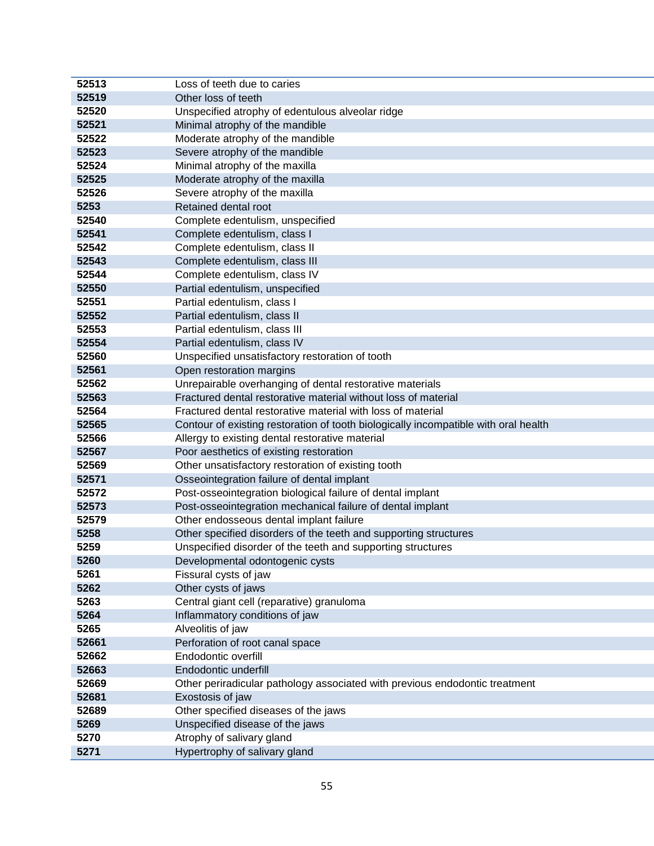| 52513 | Loss of teeth due to caries                                                         |
|-------|-------------------------------------------------------------------------------------|
| 52519 | Other loss of teeth                                                                 |
| 52520 | Unspecified atrophy of edentulous alveolar ridge                                    |
| 52521 | Minimal atrophy of the mandible                                                     |
| 52522 | Moderate atrophy of the mandible                                                    |
| 52523 | Severe atrophy of the mandible                                                      |
| 52524 | Minimal atrophy of the maxilla                                                      |
| 52525 | Moderate atrophy of the maxilla                                                     |
| 52526 | Severe atrophy of the maxilla                                                       |
| 5253  | Retained dental root                                                                |
| 52540 | Complete edentulism, unspecified                                                    |
| 52541 | Complete edentulism, class I                                                        |
| 52542 | Complete edentulism, class II                                                       |
| 52543 | Complete edentulism, class III                                                      |
| 52544 | Complete edentulism, class IV                                                       |
| 52550 | Partial edentulism, unspecified                                                     |
| 52551 | Partial edentulism, class I                                                         |
| 52552 | Partial edentulism, class II                                                        |
| 52553 | Partial edentulism, class III                                                       |
| 52554 | Partial edentulism, class IV                                                        |
| 52560 | Unspecified unsatisfactory restoration of tooth                                     |
| 52561 | Open restoration margins                                                            |
| 52562 | Unrepairable overhanging of dental restorative materials                            |
| 52563 | Fractured dental restorative material without loss of material                      |
| 52564 | Fractured dental restorative material with loss of material                         |
| 52565 | Contour of existing restoration of tooth biologically incompatible with oral health |
| 52566 | Allergy to existing dental restorative material                                     |
| 52567 | Poor aesthetics of existing restoration                                             |
| 52569 | Other unsatisfactory restoration of existing tooth                                  |
| 52571 | Osseointegration failure of dental implant                                          |
| 52572 | Post-osseointegration biological failure of dental implant                          |
| 52573 | Post-osseointegration mechanical failure of dental implant                          |
| 52579 | Other endosseous dental implant failure                                             |
| 5258  | Other specified disorders of the teeth and supporting structures                    |
| 5259  | Unspecified disorder of the teeth and supporting structures                         |
| 5260  | Developmental odontogenic cysts                                                     |
| 5261  | Fissural cysts of jaw                                                               |
| 5262  | Other cysts of jaws                                                                 |
| 5263  | Central giant cell (reparative) granuloma                                           |
| 5264  | Inflammatory conditions of jaw                                                      |
| 5265  | Alveolitis of jaw                                                                   |
| 52661 | Perforation of root canal space                                                     |
| 52662 | Endodontic overfill                                                                 |
| 52663 | Endodontic underfill                                                                |
| 52669 | Other periradicular pathology associated with previous endodontic treatment         |
| 52681 | Exostosis of jaw                                                                    |
| 52689 | Other specified diseases of the jaws                                                |
| 5269  | Unspecified disease of the jaws                                                     |
| 5270  | Atrophy of salivary gland                                                           |
| 5271  | Hypertrophy of salivary gland                                                       |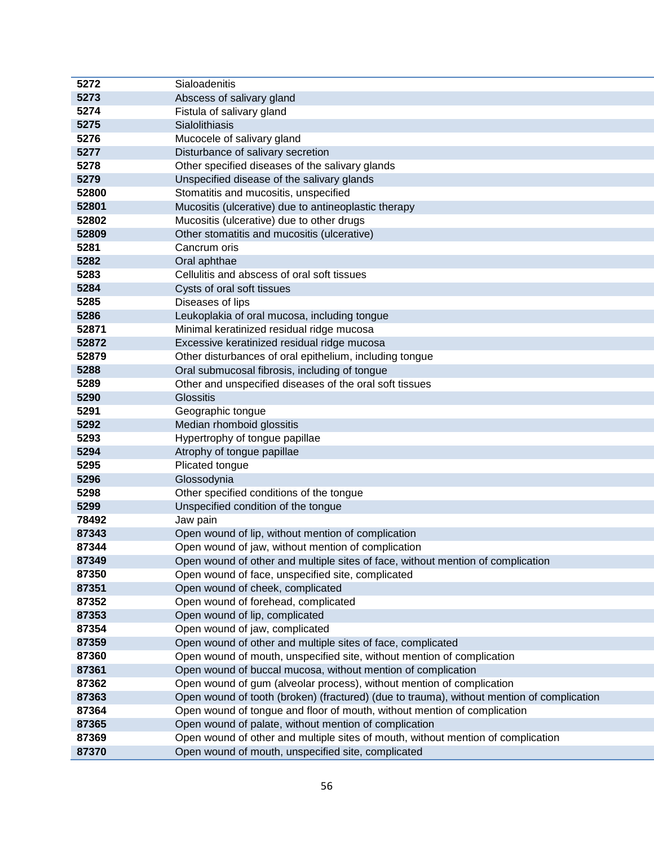| 5272  | Sialoadenitis                                                                             |
|-------|-------------------------------------------------------------------------------------------|
| 5273  | Abscess of salivary gland                                                                 |
| 5274  | Fistula of salivary gland                                                                 |
| 5275  | Sialolithiasis                                                                            |
| 5276  | Mucocele of salivary gland                                                                |
| 5277  | Disturbance of salivary secretion                                                         |
| 5278  | Other specified diseases of the salivary glands                                           |
| 5279  | Unspecified disease of the salivary glands                                                |
| 52800 | Stomatitis and mucositis, unspecified                                                     |
| 52801 | Mucositis (ulcerative) due to antineoplastic therapy                                      |
| 52802 | Mucositis (ulcerative) due to other drugs                                                 |
| 52809 | Other stomatitis and mucositis (ulcerative)                                               |
| 5281  | Cancrum oris                                                                              |
| 5282  | Oral aphthae                                                                              |
| 5283  | Cellulitis and abscess of oral soft tissues                                               |
| 5284  | Cysts of oral soft tissues                                                                |
| 5285  | Diseases of lips                                                                          |
| 5286  | Leukoplakia of oral mucosa, including tongue                                              |
| 52871 | Minimal keratinized residual ridge mucosa                                                 |
| 52872 | Excessive keratinized residual ridge mucosa                                               |
| 52879 | Other disturbances of oral epithelium, including tongue                                   |
| 5288  | Oral submucosal fibrosis, including of tongue                                             |
| 5289  | Other and unspecified diseases of the oral soft tissues                                   |
| 5290  | <b>Glossitis</b>                                                                          |
| 5291  | Geographic tongue                                                                         |
| 5292  | Median rhomboid glossitis                                                                 |
| 5293  | Hypertrophy of tongue papillae                                                            |
| 5294  | Atrophy of tongue papillae                                                                |
| 5295  | Plicated tongue                                                                           |
| 5296  | Glossodynia                                                                               |
| 5298  | Other specified conditions of the tongue                                                  |
| 5299  | Unspecified condition of the tongue                                                       |
| 78492 | Jaw pain                                                                                  |
| 87343 | Open wound of lip, without mention of complication                                        |
| 87344 | Open wound of jaw, without mention of complication                                        |
| 87349 | Open wound of other and multiple sites of face, without mention of complication           |
| 87350 | Open wound of face, unspecified site, complicated                                         |
| 87351 | Open wound of cheek, complicated                                                          |
| 87352 | Open wound of forehead, complicated                                                       |
| 87353 | Open wound of lip, complicated                                                            |
| 87354 | Open wound of jaw, complicated                                                            |
| 87359 | Open wound of other and multiple sites of face, complicated                               |
| 87360 | Open wound of mouth, unspecified site, without mention of complication                    |
| 87361 | Open wound of buccal mucosa, without mention of complication                              |
| 87362 | Open wound of gum (alveolar process), without mention of complication                     |
| 87363 | Open wound of tooth (broken) (fractured) (due to trauma), without mention of complication |
| 87364 | Open wound of tongue and floor of mouth, without mention of complication                  |
| 87365 | Open wound of palate, without mention of complication                                     |
| 87369 | Open wound of other and multiple sites of mouth, without mention of complication          |
| 87370 | Open wound of mouth, unspecified site, complicated                                        |